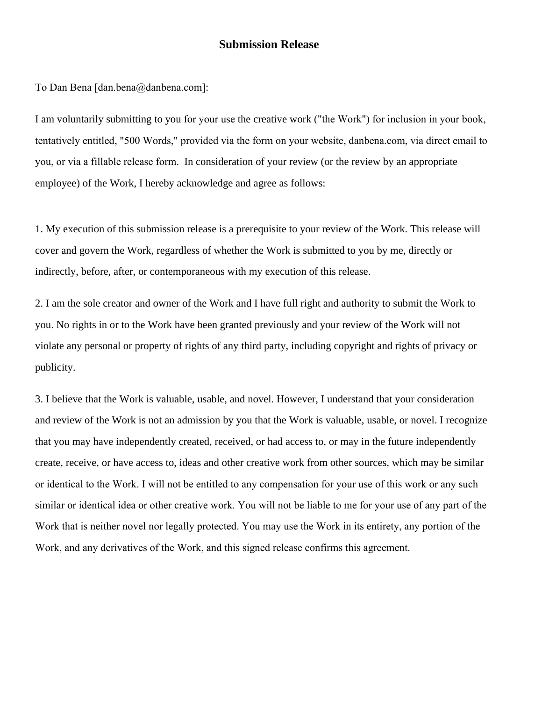## **Submission Release**

To Dan Bena [dan.bena@danbena.com]:

I am voluntarily submitting to you for your use the creative work ("the Work") for inclusion in your book, tentatively entitled, "500 Words," provided via the form on your website, danbena.com, via direct email to you, or via a fillable release form. In consideration of your review (or the review by an appropriate employee) of the Work, I hereby acknowledge and agree as follows:

1. My execution of this submission release is a prerequisite to your review of the Work. This release will cover and govern the Work, regardless of whether the Work is submitted to you by me, directly or indirectly, before, after, or contemporaneous with my execution of this release.

2. I am the sole creator and owner of the Work and I have full right and authority to submit the Work to you. No rights in or to the Work have been granted previously and your review of the Work will not violate any personal or property of rights of any third party, including copyright and rights of privacy or publicity.

3. I believe that the Work is valuable, usable, and novel. However, I understand that your consideration and review of the Work is not an admission by you that the Work is valuable, usable, or novel. I recognize that you may have independently created, received, or had access to, or may in the future independently create, receive, or have access to, ideas and other creative work from other sources, which may be similar or identical to the Work. I will not be entitled to any compensation for your use of this work or any such similar or identical idea or other creative work. You will not be liable to me for your use of any part of the Work that is neither novel nor legally protected. You may use the Work in its entirety, any portion of the Work, and any derivatives of the Work, and this signed release confirms this agreement.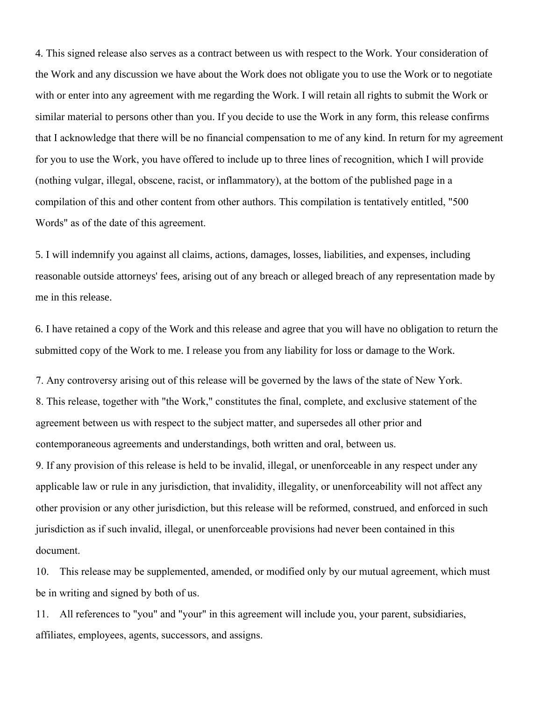4. This signed release also serves as a contract between us with respect to the Work. Your consideration of the Work and any discussion we have about the Work does not obligate you to use the Work or to negotiate with or enter into any agreement with me regarding the Work. I will retain all rights to submit the Work or similar material to persons other than you. If you decide to use the Work in any form, this release confirms that I acknowledge that there will be no financial compensation to me of any kind. In return for my agreement for you to use the Work, you have offered to include up to three lines of recognition, which I will provide (nothing vulgar, illegal, obscene, racist, or inflammatory), at the bottom of the published page in a compilation of this and other content from other authors. This compilation is tentatively entitled, "500 Words" as of the date of this agreement.

5. I will indemnify you against all claims, actions, damages, losses, liabilities, and expenses, including reasonable outside attorneys' fees, arising out of any breach or alleged breach of any representation made by me in this release.

6. I have retained a copy of the Work and this release and agree that you will have no obligation to return the submitted copy of the Work to me. I release you from any liability for loss or damage to the Work.

7. Any controversy arising out of this release will be governed by the laws of the state of New York. 8. This release, together with "the Work," constitutes the final, complete, and exclusive statement of the agreement between us with respect to the subject matter, and supersedes all other prior and contemporaneous agreements and understandings, both written and oral, between us.

9. If any provision of this release is held to be invalid, illegal, or unenforceable in any respect under any applicable law or rule in any jurisdiction, that invalidity, illegality, or unenforceability will not affect any other provision or any other jurisdiction, but this release will be reformed, construed, and enforced in such jurisdiction as if such invalid, illegal, or unenforceable provisions had never been contained in this document.

10. This release may be supplemented, amended, or modified only by our mutual agreement, which must be in writing and signed by both of us.

11. All references to "you" and "your" in this agreement will include you, your parent, subsidiaries, affiliates, employees, agents, successors, and assigns.